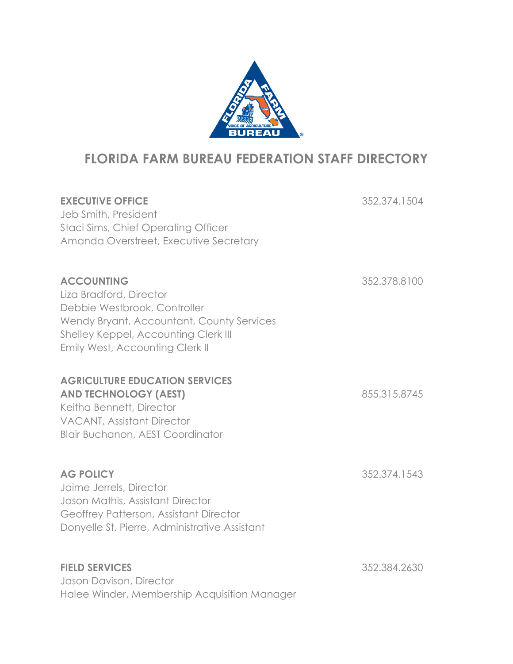

# **FLORIDA FARM BUREAU FEDERATION STAFF DIRECTORY**

| <b>EXECUTIVE OFFICE</b><br>Jeb Smith, President<br><b>Staci Sims, Chief Operating Officer</b><br>Amanda Overstreet, Executive Secretary                                                              | 352.374.1504 |
|------------------------------------------------------------------------------------------------------------------------------------------------------------------------------------------------------|--------------|
| <b>ACCOUNTING</b><br>Liza Bradford, Director<br>Debbie Westbrook, Controller<br>Wendy Bryant, Accountant, County Services<br>Shelley Keppel, Accounting Clerk III<br>Emily West, Accounting Clerk II | 352.378.8100 |
| <b>AGRICULTURE EDUCATION SERVICES</b><br><b>AND TECHNOLOGY (AEST)</b><br>Keitha Bennett, Director<br><b>VACANT, Assistant Director</b><br>Blair Buchanon, AEST Coordinator                           | 855.315.8745 |
| <b>AG POLICY</b><br>Jaime Jerrels, Director<br>Jason Mathis, Assistant Director<br>Geoffrey Patterson, Assistant Director<br>Donyelle St. Pierre, Administrative Assistant                           | 352.374.1543 |
| <b>FIELD SERVICES</b><br>Jason Davison, Director<br>Halee Winder, Membership Acquisition Manager                                                                                                     | 352.384.2630 |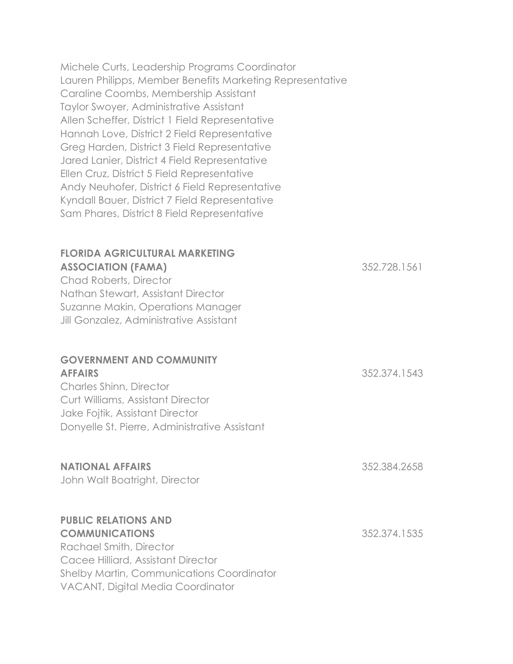Michele Curts, Leadership Programs Coordinator Lauren Philipps, Member Benefits Marketing Representative Caraline Coombs, Membership Assistant Taylor Swoyer, Administrative Assistant Allen Scheffer, District 1 Field Representative Hannah Love, District 2 Field Representative Greg Harden, District 3 Field Representative Jared Lanier, District 4 Field Representative Ellen Cruz, District 5 Field Representative Andy Neuhofer, District 6 Field Representative Kyndall Bauer, District 7 Field Representative Sam Phares, District 8 Field Representative

## **FLORIDA AGRICULTURAL MARKETING ASSOCIATION (FAMA)** 352.728.1561 Chad Roberts, Director Nathan Stewart, Assistant Director Suzanne Makin, Operations Manager Jill Gonzalez, Administrative Assistant **GOVERNMENT AND COMMUNITY**

### **AFFAIRS** 352.374.1543

Charles Shinn, Director Curt Williams, Assistant Director Jake Fojtik, Assistant Director Donyelle St. Pierre, Administrative Assistant

### **NATIONAL AFFAIRS** 352.384.2658

John Walt Boatright, Director

#### **PUBLIC RELATIONS AND COMMUNICATIONS** 352.374.1535

Rachael Smith, Director Cacee Hilliard, Assistant Director Shelby Martin, Communications Coordinator VACANT, Digital Media Coordinator